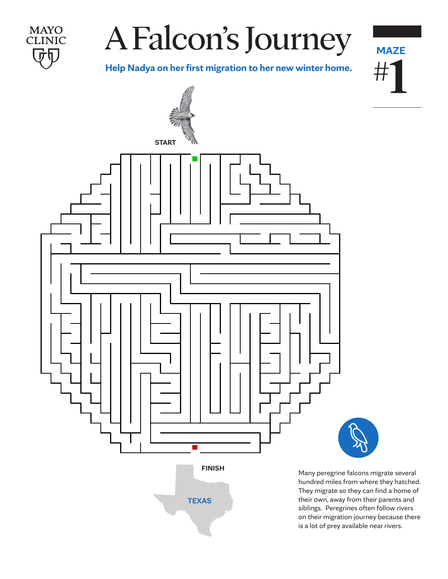

**MAYO CLINIC** 

**Help Nadya on her first migration to her new winter home.**

**MAZE**

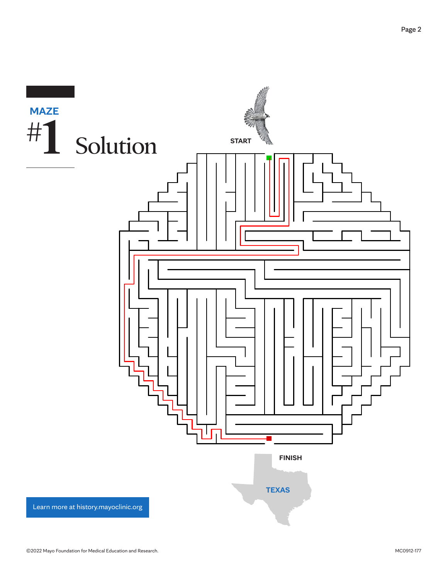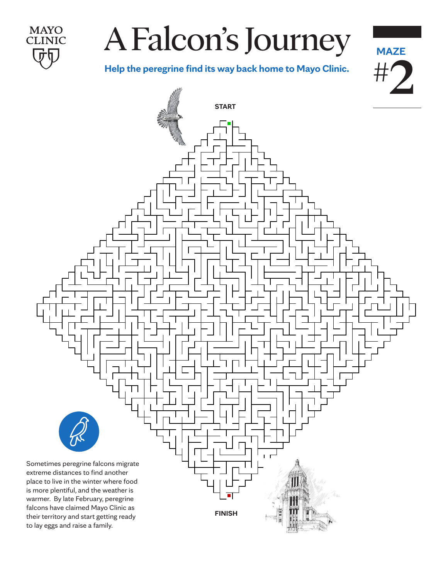

#### A Falcon's Journey -alcon's Journ

**MAZE**

**Help the peregrine find its way back home to Mayo Clinic.**

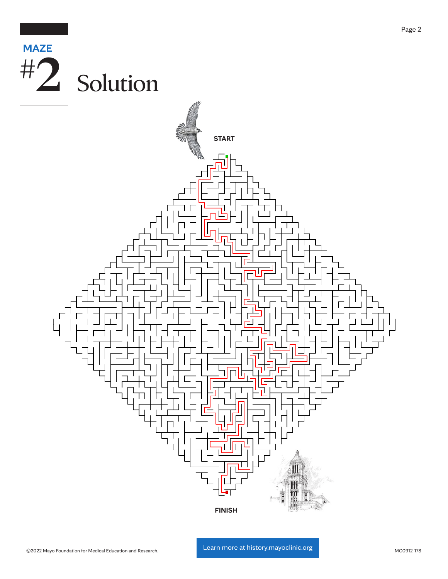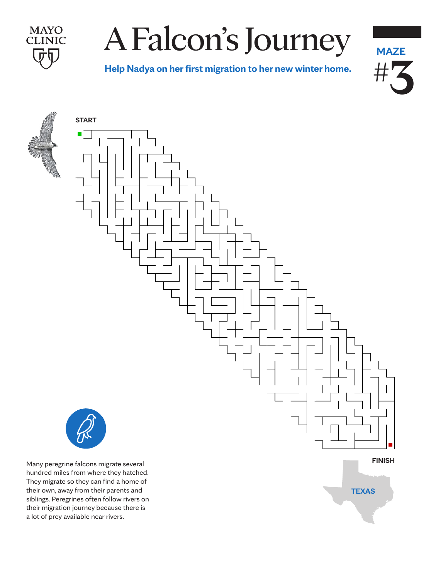

# A Falcon's Journey

**A Falcon's Journey Help Nadya on her first migration to her new winter home.**





**START**



They migrate so they can find a home of their own, away from their parents and siblings. Peregrines often follow rivers on their migration journey because there is a lot of prey available near rivers.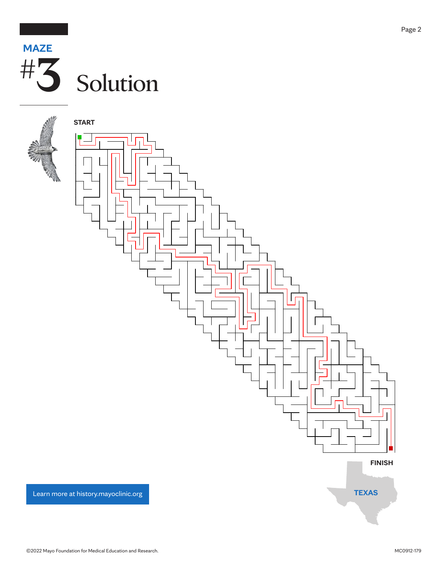



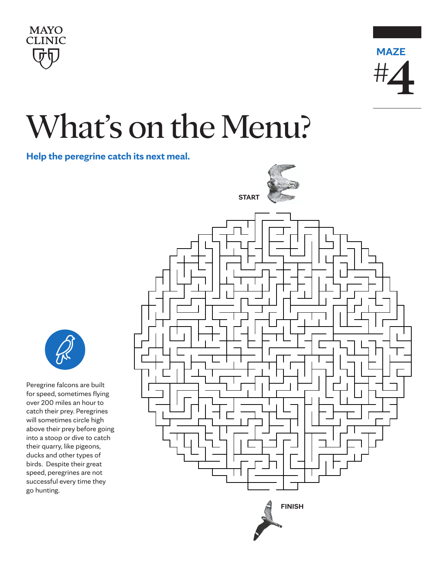



## What's on the Menu?

**Help the peregrine catch its next meal.**



Peregrine falcons are built for speed, sometimes flying over 200 miles an hour to catch their prey. Peregrines will sometimes circle high above their prey before going into a stoop or dive to catch their quarry, like pigeons, ducks and other types of birds. Despite their great speed, peregrines are not successful every time they go hunting.

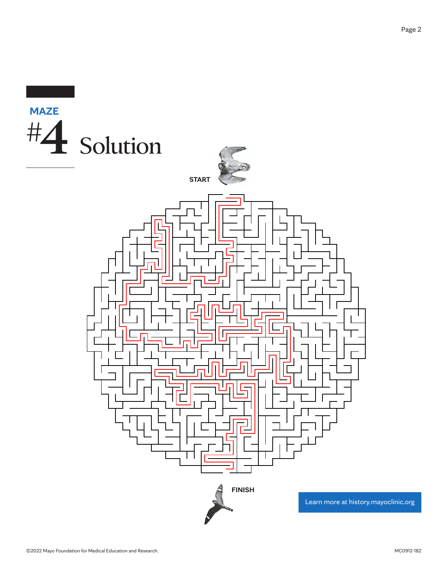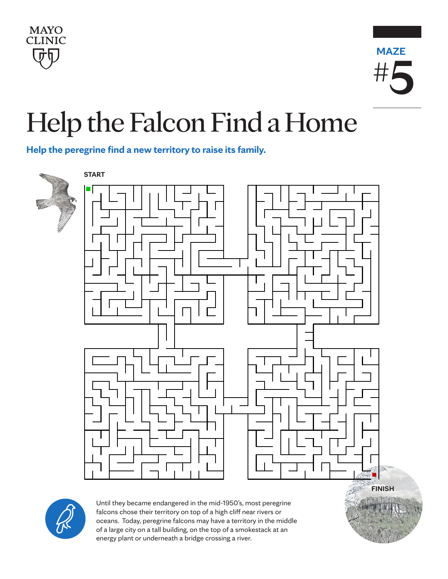



#### Help the Falcon Find a Home **Help the falcon find a home**

**Help the peregrine find a new territory to raise its family.**





Until they became endangered in the mid-1950's, most peregrine falcons chose their territory on top of a high cliff near rivers or oceans. Today, peregrine falcons may have a territory in the middle of a large city on a tall building, on the top of a smokestack at an energy plant or underneath a bridge crossing a river.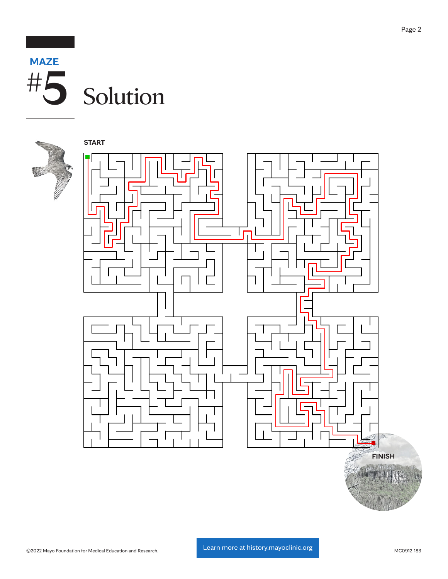



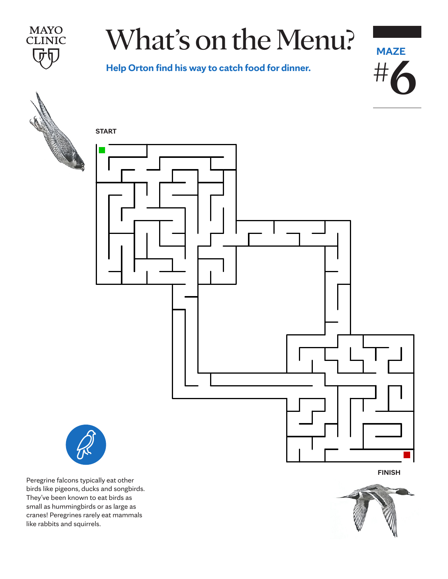**MAYO CLINIC** 

### What's on the Menu?

**Way to catch food for difficit. Help Orton find his way to catch food for dinner.**



Peregrine falcons typically eat other birds like pigeons, ducks and songbirds. They've been known to eat birds as small as hummingbirds or as large as cranes! Peregrines rarely eat mammals like rabbits and squirrels.

**FINISH**

**MAZE**

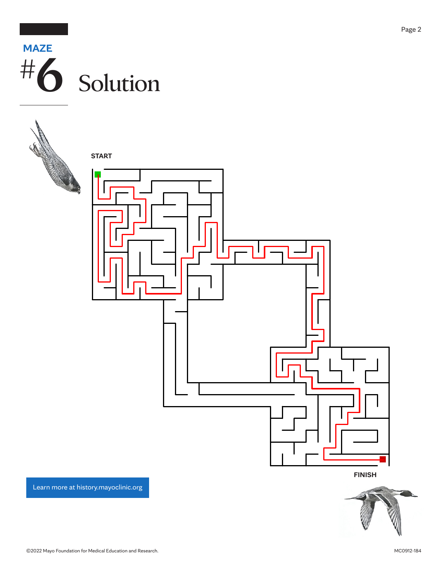